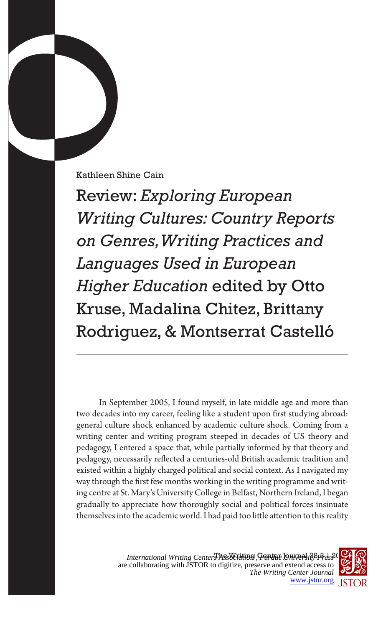Kathleen Shine Cain

Review: *Exploring European Writing Cultures: Country Reports on Genres, Writing Practices and Languages Used in European Higher Education* edited by Otto Kruse, Madalina Chitez, Brittany Rodriguez, & Montserrat Castelló

In September 2005, I found myself, in late middle age and more than two decades into my career, feeling like a student upon first studying abroad: general culture shock enhanced by academic culture shock. Coming from a writing center and writing program steeped in decades of US theory and pedagogy, I entered a space that, while partially informed by that theory and pedagogy, necessarily reflected a centuries-old British academic tradition and existed within a highly charged political and social context. As I navigated my way through the first few months working in the writing programme and writing centre at St. Mary's University College in Belfast, Northern Ireland, I began gradually to appreciate how thoroughly social and political forces insinuate themselves into the academic world. I had paid too little attention to this reality

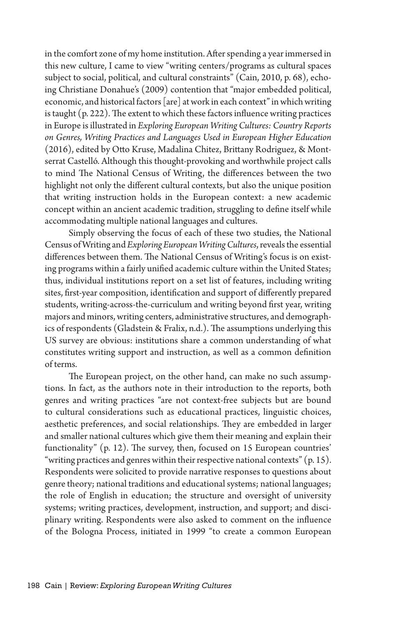in the comfort zone of my home institution. After spending a year immersed in this new culture, I came to view "writing centers/programs as cultural spaces subject to social, political, and cultural constraints" (Cain, 2010, p. 68), echoing Christiane Donahue's (2009) contention that "major embedded political, economic, and historical factors [are] at work in each context" in which writing is taught (p. 222). The extent to which these factors influence writing practices in Europe is illustrated in *Exploring European Writing Cultures: Country Reports on Genres, Writing Practices and Languages Used in European Higher Education* (2016), edited by Otto Kruse, Madalina Chitez, Brittany Rodriguez, & Montserrat Castelló. Although this thought-provoking and worthwhile project calls to mind The National Census of Writing, the differences between the two highlight not only the different cultural contexts, but also the unique position that writing instruction holds in the European context: a new academic concept within an ancient academic tradition, struggling to define itself while accommodating multiple national languages and cultures.

Simply observing the focus of each of these two studies, the National Census of Writing and *Exploring European Writing Cultures*, reveals the essential differences between them. The National Census of Writing's focus is on existing programs within a fairly unified academic culture within the United States; thus, individual institutions report on a set list of features, including writing sites, first-year composition, identification and support of differently prepared students, writing-across-the-curriculum and writing beyond first year, writing majors and minors, writing centers, administrative structures, and demographics of respondents (Gladstein & Fralix, n.d.). The assumptions underlying this US survey are obvious: institutions share a common understanding of what constitutes writing support and instruction, as well as a common definition of terms.

The European project, on the other hand, can make no such assumptions. In fact, as the authors note in their introduction to the reports, both genres and writing practices "are not context-free subjects but are bound to cultural considerations such as educational practices, linguistic choices, aesthetic preferences, and social relationships. They are embedded in larger and smaller national cultures which give them their meaning and explain their functionality" (p. 12). The survey, then, focused on 15 European countries' "writing practices and genres within their respective national contexts"  $(p. 15)$ . Respondents were solicited to provide narrative responses to questions about genre theory; national traditions and educational systems; national languages; the role of English in education; the structure and oversight of university systems; writing practices, development, instruction, and support; and disciplinary writing. Respondents were also asked to comment on the influence of the Bologna Process, initiated in 1999 "to create a common European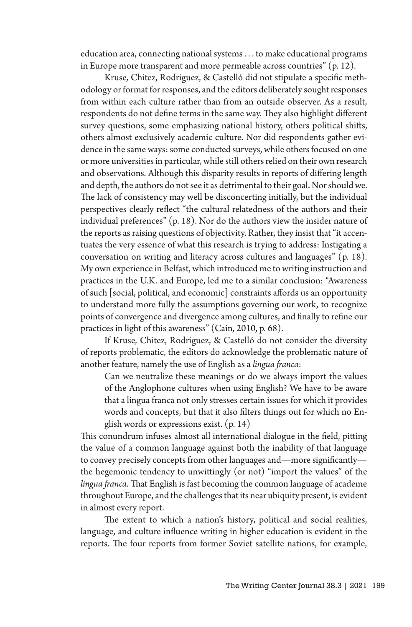education area, connecting national systems . . . to make educational programs in Europe more transparent and more permeable across countries" (p. 12).

Kruse*,* Chitez, Rodriguez, & Castelló did not stipulate a specific methodology or format for responses, and the editors deliberately sought responses from within each culture rather than from an outside observer. As a result, respondents do not define terms in the same way. They also highlight different survey questions, some emphasizing national history, others political shifts, others almost exclusively academic culture. Nor did respondents gather evidence in the same ways: some conducted surveys, while others focused on one or more universities in particular, while still others relied on their own research and observations. Although this disparity results in reports of differing length and depth, the authors do not see it as detrimental to their goal. Nor should we. The lack of consistency may well be disconcerting initially, but the individual perspectives clearly reflect "the cultural relatedness of the authors and their individual preferences" (p. 18). Nor do the authors view the insider nature of the reports as raising questions of objectivity. Rather, they insist that "it accentuates the very essence of what this research is trying to address: Instigating a conversation on writing and literacy across cultures and languages" (p. 18). My own experience in Belfast, which introduced me to writing instruction and practices in the U.K. and Europe, led me to a similar conclusion: "Awareness of such [social, political, and economic] constraints affords us an opportunity to understand more fully the assumptions governing our work, to recognize points of convergence and divergence among cultures, and finally to refine our practices in light of this awareness" (Cain, 2010, p. 68).

If Kruse*,* Chitez, Rodriguez, & Castelló do not consider the diversity of reports problematic, the editors do acknowledge the problematic nature of another feature, namely the use of English as a *lingua franca*:

Can we neutralize these meanings or do we always import the values of the Anglophone cultures when using English? We have to be aware that a lingua franca not only stresses certain issues for which it provides words and concepts, but that it also filters things out for which no English words or expressions exist. (p. 14)

This conundrum infuses almost all international dialogue in the field, pitting the value of a common language against both the inability of that language to convey precisely concepts from other languages and—more significantly the hegemonic tendency to unwittingly (or not) "import the values" of the *lingua franca*. That English is fast becoming the common language of academe throughout Europe, and the challenges that its near ubiquity present, is evident in almost every report.

The extent to which a nation's history, political and social realities, language, and culture influence writing in higher education is evident in the reports. The four reports from former Soviet satellite nations, for example,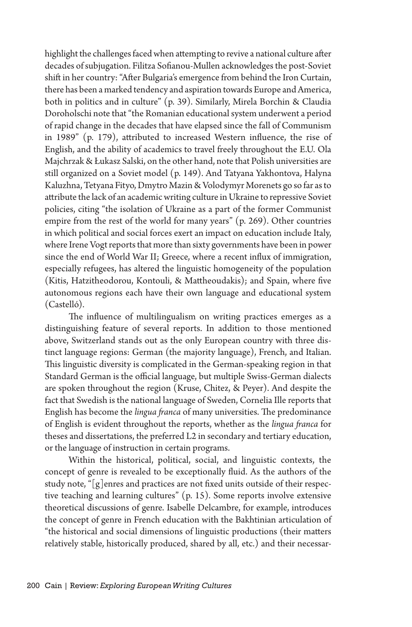highlight the challenges faced when attempting to revive a national culture after decades of subjugation. Filitza Sofianou-Mullen acknowledges the post-Soviet shift in her country: "After Bulgaria's emergence from behind the Iron Curtain, there has been a marked tendency and aspiration towards Europe and America, both in politics and in culture" (p. 39). Similarly, Mirela Borchin & Claudia Doroholschi note that "the Romanian educational system underwent a period of rapid change in the decades that have elapsed since the fall of Communism in 1989" (p. 179), attributed to increased Western influence, the rise of English, and the ability of academics to travel freely throughout the E.U. Ola Majchrzak & Łukasz Salski, on the other hand, note that Polish universities are still organized on a Soviet model (p. 149). And Tatyana Yakhontova, Halyna Kaluzhna, Tetyana Fityo, Dmytro Mazin & Volodymyr Morenets go so far as to attribute the lack of an academic writing culture in Ukraine to repressive Soviet policies, citing "the isolation of Ukraine as a part of the former Communist empire from the rest of the world for many years" (p. 269). Other countries in which political and social forces exert an impact on education include Italy, where Irene Vogt reports that more than sixty governments have been in power since the end of World War II; Greece, where a recent influx of immigration, especially refugees, has altered the linguistic homogeneity of the population (Kitis, Hatzitheodorou, Kontouli, & Mattheoudakis); and Spain, where five autonomous regions each have their own language and educational system (Castelló).

The influence of multilingualism on writing practices emerges as a distinguishing feature of several reports. In addition to those mentioned above, Switzerland stands out as the only European country with three distinct language regions: German (the majority language), French, and Italian. This linguistic diversity is complicated in the German-speaking region in that Standard German is the official language, but multiple Swiss-German dialects are spoken throughout the region (Kruse, Chitez, & Peyer). And despite the fact that Swedish is the national language of Sweden, Cornelia Ille reports that English has become the *lingua franca* of many universities. The predominance of English is evident throughout the reports, whether as the *lingua franca* for theses and dissertations, the preferred L2 in secondary and tertiary education, or the language of instruction in certain programs.

Within the historical, political, social, and linguistic contexts, the concept of genre is revealed to be exceptionally fluid. As the authors of the study note, "[g]enres and practices are not fixed units outside of their respective teaching and learning cultures" (p. 15). Some reports involve extensive theoretical discussions of genre. Isabelle Delcambre, for example, introduces the concept of genre in French education with the Bakhtinian articulation of "the historical and social dimensions of linguistic productions (their matters relatively stable, historically produced, shared by all, etc.) and their necessar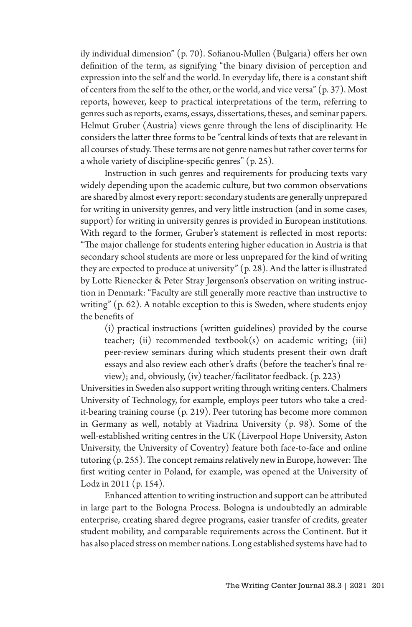ily individual dimension" (p. 70). Sofianou-Mullen (Bulgaria) offers her own definition of the term, as signifying "the binary division of perception and expression into the self and the world. In everyday life, there is a constant shift of centers from the self to the other, or the world, and vice versa" (p. 37). Most reports, however, keep to practical interpretations of the term, referring to genres such as reports, exams, essays, dissertations, theses, and seminar papers. Helmut Gruber (Austria) views genre through the lens of disciplinarity. He considers the latter three forms to be "central kinds of texts that are relevant in all courses of study. These terms are not genre names but rather cover terms for a whole variety of discipline-specific genres" (p. 25).

Instruction in such genres and requirements for producing texts vary widely depending upon the academic culture, but two common observations are shared by almost every report: secondary students are generally unprepared for writing in university genres, and very little instruction (and in some cases, support) for writing in university genres is provided in European institutions. With regard to the former, Gruber's statement is reflected in most reports: "The major challenge for students entering higher education in Austria is that secondary school students are more or less unprepared for the kind of writing they are expected to produce at university" (p. 28). And the latter is illustrated by Lotte Rienecker & Peter Stray Jørgenson's observation on writing instruction in Denmark: "Faculty are still generally more reactive than instructive to writing" (p. 62). A notable exception to this is Sweden, where students enjoy the benefits of

(i) practical instructions (written guidelines) provided by the course teacher; (ii) recommended textbook(s) on academic writing; (iii) peer-review seminars during which students present their own draft essays and also review each other's drafts (before the teacher's final review); and, obviously, (iv) teacher/facilitator feedback. (p. 223)

Universities in Sweden also support writing through writing centers. Chalmers University of Technology, for example, employs peer tutors who take a credit-bearing training course (p. 219). Peer tutoring has become more common in Germany as well, notably at Viadrina University (p. 98). Some of the well-established writing centres in the UK (Liverpool Hope University, Aston University, the University of Coventry) feature both face-to-face and online tutoring (p. 255). The concept remains relatively new in Europe, however: The first writing center in Poland, for example, was opened at the University of Lodz in 2011 (p. 154).

Enhanced attention to writing instruction and support can be attributed in large part to the Bologna Process. Bologna is undoubtedly an admirable enterprise, creating shared degree programs, easier transfer of credits, greater student mobility, and comparable requirements across the Continent. But it has also placed stress on member nations. Long established systems have had to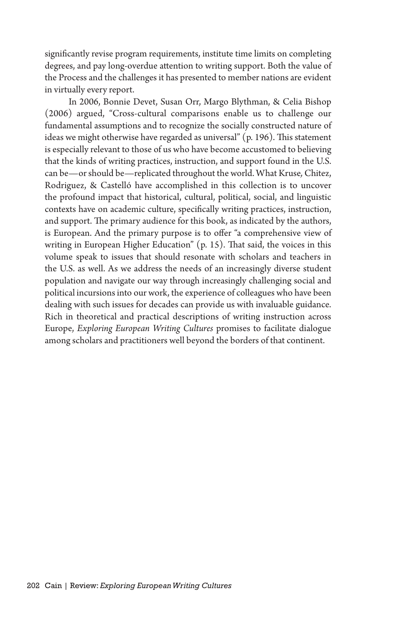significantly revise program requirements, institute time limits on completing degrees, and pay long-overdue attention to writing support. Both the value of the Process and the challenges it has presented to member nations are evident in virtually every report.

In 2006, Bonnie Devet, Susan Orr, Margo Blythman, & Celia Bishop (2006) argued, "Cross-cultural comparisons enable us to challenge our fundamental assumptions and to recognize the socially constructed nature of ideas we might otherwise have regarded as universal" (p. 196). This statement is especially relevant to those of us who have become accustomed to believing that the kinds of writing practices, instruction, and support found in the U.S. can be—or should be—replicated throughout the world. What Kruse*,* Chitez, Rodriguez, & Castelló have accomplished in this collection is to uncover the profound impact that historical, cultural, political, social, and linguistic contexts have on academic culture, specifically writing practices, instruction, and support. The primary audience for this book, as indicated by the authors, is European. And the primary purpose is to offer "a comprehensive view of writing in European Higher Education" (p. 15). That said, the voices in this volume speak to issues that should resonate with scholars and teachers in the U.S. as well. As we address the needs of an increasingly diverse student population and navigate our way through increasingly challenging social and political incursions into our work, the experience of colleagues who have been dealing with such issues for decades can provide us with invaluable guidance. Rich in theoretical and practical descriptions of writing instruction across Europe, *Exploring European Writing Cultures* promises to facilitate dialogue among scholars and practitioners well beyond the borders of that continent.